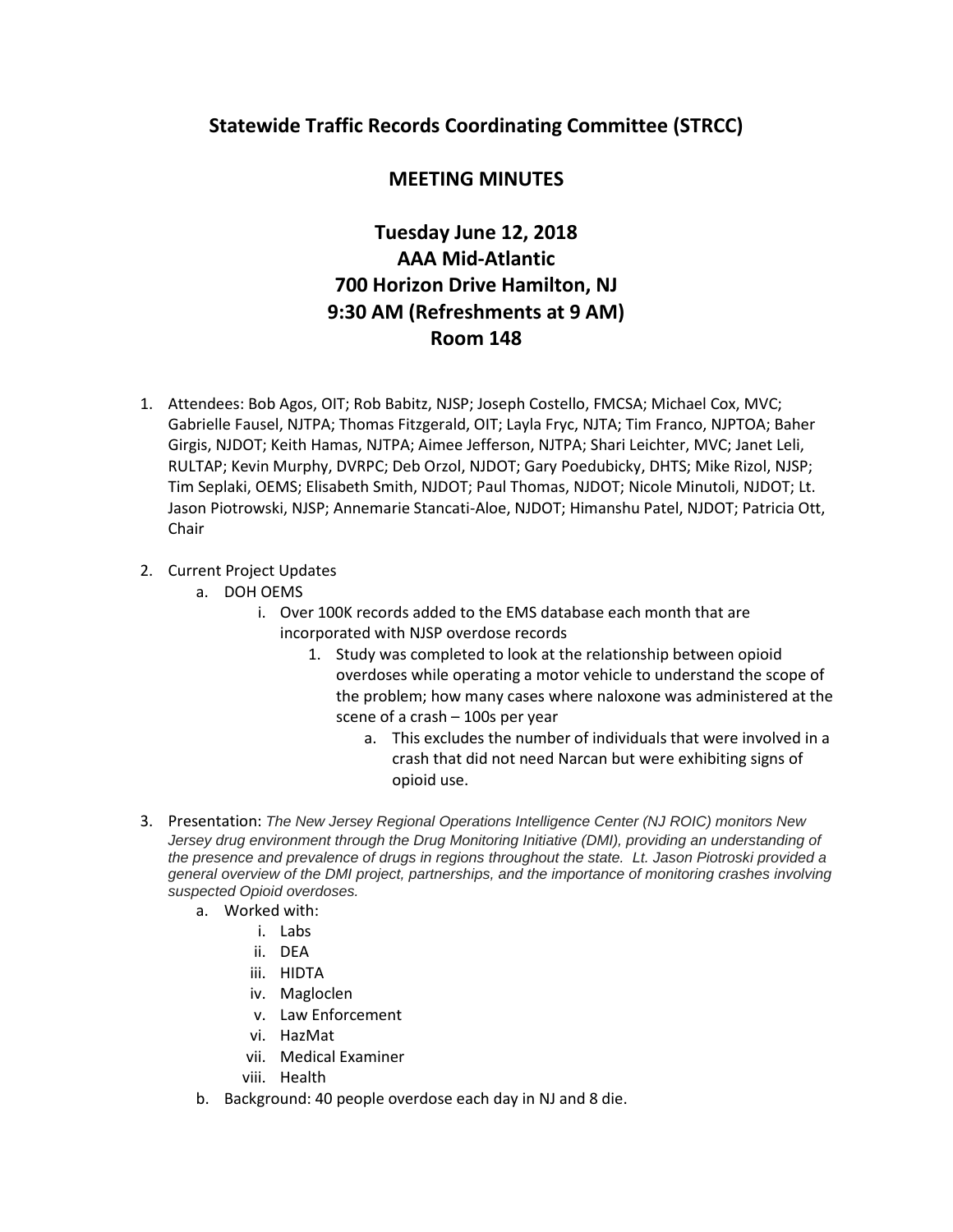## **Statewide Traffic Records Coordinating Committee (STRCC)**

## **MEETING MINUTES**

## **Tuesday June 12, 2018 AAA Mid-Atlantic 700 Horizon Drive Hamilton, NJ 9:30 AM (Refreshments at 9 AM) Room 148**

- 1. Attendees: Bob Agos, OIT; Rob Babitz, NJSP; Joseph Costello, FMCSA; Michael Cox, MVC; Gabrielle Fausel, NJTPA; Thomas Fitzgerald, OIT; Layla Fryc, NJTA; Tim Franco, NJPTOA; Baher Girgis, NJDOT; Keith Hamas, NJTPA; Aimee Jefferson, NJTPA; Shari Leichter, MVC; Janet Leli, RULTAP; Kevin Murphy, DVRPC; Deb Orzol, NJDOT; Gary Poedubicky, DHTS; Mike Rizol, NJSP; Tim Seplaki, OEMS; Elisabeth Smith, NJDOT; Paul Thomas, NJDOT; Nicole Minutoli, NJDOT; Lt. Jason Piotrowski, NJSP; Annemarie Stancati-Aloe, NJDOT; Himanshu Patel, NJDOT; Patricia Ott, Chair
- 2. Current Project Updates
	- a. DOH OEMS
		- i. Over 100K records added to the EMS database each month that are incorporated with NJSP overdose records
			- 1. Study was completed to look at the relationship between opioid overdoses while operating a motor vehicle to understand the scope of the problem; how many cases where naloxone was administered at the scene of a crash – 100s per year
				- a. This excludes the number of individuals that were involved in a crash that did not need Narcan but were exhibiting signs of opioid use.
- 3. Presentation: *The New Jersey Regional Operations Intelligence Center (NJ ROIC) monitors New*  Jersey drug environment through the Drug Monitoring Initiative (DMI), providing an understanding of *the presence and prevalence of drugs in regions throughout the state. Lt. Jason Piotroski provided a general overview of the DMI project, partnerships, and the importance of monitoring crashes involving suspected Opioid overdoses.*
	- a. Worked with:
		- i. Labs
		- ii. DEA
		- iii. HIDTA
		- iv. Magloclen
		- v. Law Enforcement
		- vi. HazMat
		- vii. Medical Examiner
		- viii. Health
	- b. Background: 40 people overdose each day in NJ and 8 die.